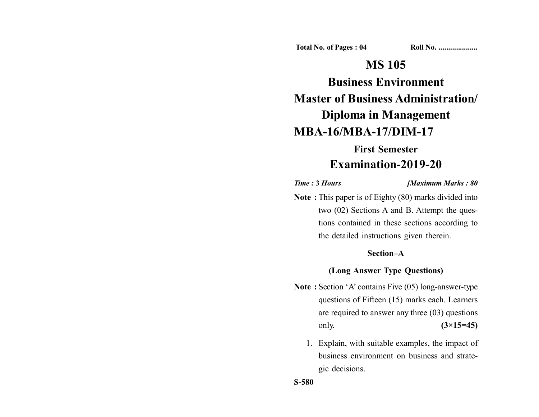**Total No. of Pages : 04 Roll No. ...................** 

# **MS 105**

**Business Environment Master of Business Administration/ Diploma in Management**

# **MBA-16/MBA-17/DIM-17**

# **First Semester Examination-2019-20**

*Time :* **3** *Hours [Maximum Marks : 80*

**Note :** This paper is of Eighty (80) marks divided into two (02) Sections A and B. Attempt the questions contained in these sections according to the detailed instructions given therein.

## **Section–A**

#### **(Long Answer Type Questions)**

- **Note :** Section 'A' contains Five (05) long-answer-type questions of Fifteen (15) marks each. Learners are required to answer any three (03) questions only. **(3×15=45)**
	- 1. Explain, with suitable examples, the impact of business environment on business and strategic decisions.